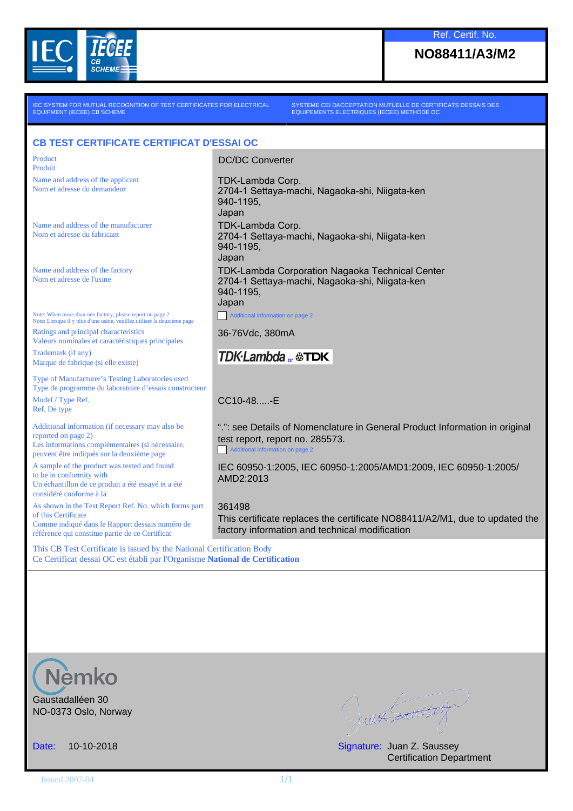

### **NO88411/A3/M2**

IEC SYSTEM FOR MUTUAL RECOGNITION OF TEST CERTIFICATES FOR ELECTRICAL EQUIPMENT (IECEE) CB SCHEME

SYSTEME CEI DACCEPTATION MUTUELLE DE CERTIFICATS DESSAIS DES EQUIPEMENTS ELECTRIQUES (IECEE) METHODE OC

#### **CB TEST CERTIFICATE CERTIFICAT D'ESSAI OC**

**Product** Produit

Name and address of the applicant Nom et adresse du demandeur

Name and address of the manufacturer Nom et adresse du fabricant

Name and address of the factory Nom et adresse de l'usine

Note: When more than one factory, please report on page 2 Note: Lorsque il y plus d'une usine, veuillez utiliser la deuxième page Ratings and principal characteristics Valeurs nominales et caractéristiques principales

Trademark (if any) Marque de fabrique (si elle existe)

Type of Manufacturer's Testing Laboratories used Type de programme du laboratoire d'essais constructeur Model / Type Ref. Ref. De type

Additional information (if necessary may also be reported on page 2) Les informations complémentaires (si nécessaire, peuvent être indiqués sur la deuxième page

A sample of the product was tested and found to be in conformity with Un échantillon de ce produit a été essayé et a été

considéré conforme à la As shown in the Test Report Ref. No. which forms part of this Certificate Comme indiqué dans le Rapport dessais numéro de référence qui constitue partie de ce Certificat

2704-1 Settaya-machi, Nagaoka-shi, Niigata-ken 940-1195, Japan TDK-Lambda Corp. 2704-1 Settaya-machi, Nagaoka-shi, Niigata-ken 940-1195, Japan

TDK-Lambda Corporation Nagaoka Technical Center 2704-1 Settaya-machi, Nagaoka-shi, Niigata-ken 940-1195, Japan

Additional information on page 2

36-76Vdc, 380mA

DC/DC Converter

TDK-Lambda Corp.

# **TDK**·Lambda<sub>or</sub>  $\circledast$ TDK

CC10-48 - F

".": see Details of Nomenclature in General Product Information in original test report, report no. 285573.

Additional information on page 2

IEC 60950-1:2005, IEC 60950-1:2005/AMD1:2009, IEC 60950-1:2005/ AMD2:2013

361498

This certificate replaces the certificate NO88411/A2/M1, due to updated the factory information and technical modification

This CB Test Certificate is issued by the National Certification Body Ce Certificat dessai OC est établi par l'Organisme **National de Certification**



Gaustadalléen 30 NO-0373 Oslo, Norway

Juan Sansson

Date: 10-10-2018 Signature: Juan Z. Saussey Certification Department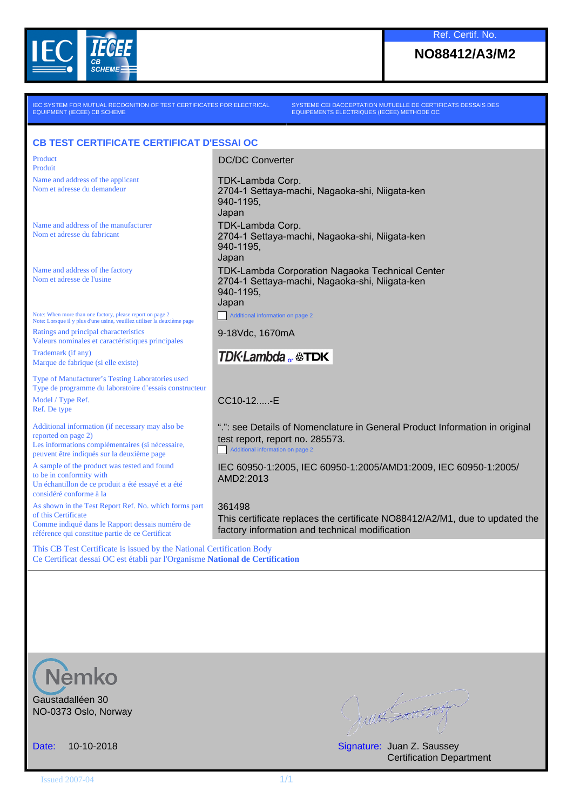

## **NO88412/A3/M2**

IEC SYSTEM FOR MUTUAL RECOGNITION OF TEST CERTIFICATES FOR ELECTRICAL EQUIPMENT (IECEE) CB SCHEME

SYSTEME CEI DACCEPTATION MUTUELLE DE CERTIFICATS DESSAIS DES EQUIPEMENTS ELECTRIQUES (IECEE) METHODE OC

### **CB TEST CERTIFICATE CERTIFICAT D'ESSAI OC**

**Product** Produit

Name and address of the applicant Nom et adresse du demandeur

Name and address of the manufacturer Nom et adresse du fabricant

Name and address of the factory Nom et adresse de l'usine

Note: When more than one factory, please report on page 2 Note: Lorsque il y plus d'une usine, veuillez utiliser la deuxième page Ratings and principal characteristics Valeurs nominales et caractéristiques principales

Trademark (if any) Marque de fabrique (si elle existe)

Type of Manufacturer's Testing Laboratories used Type de programme du laboratoire d'essais constructeur Model / Type Ref. Ref. De type

Additional information (if necessary may also be reported on page 2) Les informations complémentaires (si nécessaire, peuvent être indiqués sur la deuxième page

A sample of the product was tested and found to be in conformity with Un échantillon de ce produit a été essayé et a été

considéré conforme à la As shown in the Test Report Ref. No. which forms part of this Certificate Comme indiqué dans le Rapport dessais numéro de référence qui constitue partie de ce Certificat

2704-1 Settaya-machi, Nagaoka-shi, Niigata-ken 940-1195, Japan TDK-Lambda Corp. 2704-1 Settaya-machi, Nagaoka-shi, Niigata-ken 940-1195, Japan TDK-Lambda Corporation Nagaoka Technical Center 2704-1 Settaya-machi, Nagaoka-shi, Niigata-ken 940-1195, Japan Additional information on page 2

DC/DC Converter

TDK-Lambda Corp.

9-18Vdc, 1670mA

# **TDK**·Lambda<sub>or</sub>  $\circledast$ TDK

CC10-12. - F

".": see Details of Nomenclature in General Product Information in original test report, report no. 285573.

Additional information on page 2

IEC 60950-1:2005, IEC 60950-1:2005/AMD1:2009, IEC 60950-1:2005/ AMD2:2013

361498

This certificate replaces the certificate NO88412/A2/M1, due to updated the factory information and technical modification

This CB Test Certificate is issued by the National Certification Body Ce Certificat dessai OC est établi par l'Organisme **National de Certification**



Gaustadalléen 30 NO-0373 Oslo, Norway

Junes Santton

Date: 10-10-2018 Signature: Juan Z. Saussey Certification Department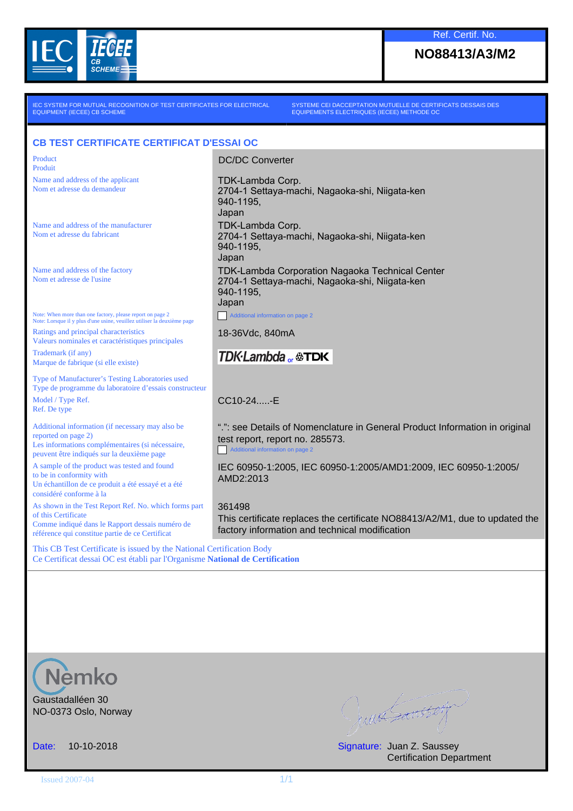

### **NO88413/A3/M2**

IEC SYSTEM FOR MUTUAL RECOGNITION OF TEST CERTIFICATES FOR ELECTRICAL EQUIPMENT (IECEE) CB SCHEME

SYSTEME CEI DACCEPTATION MUTUELLE DE CERTIFICATS DESSAIS DES EQUIPEMENTS ELECTRIQUES (IECEE) METHODE OC

#### **CB TEST CERTIFICATE CERTIFICAT D'ESSAI OC**

**Product** Produit

Name and address of the applicant Nom et adresse du demandeur

Name and address of the manufacturer Nom et adresse du fabricant

Name and address of the factory Nom et adresse de l'usine

Note: When more than one factory, please report on page 2 Note: Lorsque il y plus d'une usine, veuillez utiliser la deuxième page Ratings and principal characteristics Valeurs nominales et caractéristiques principales

Trademark (if any) Marque de fabrique (si elle existe)

Type of Manufacturer's Testing Laboratories used Type de programme du laboratoire d'essais constructeur Model / Type Ref. Ref. De type

Additional information (if necessary may also be reported on page 2) Les informations complémentaires (si nécessaire, peuvent être indiqués sur la deuxième page

A sample of the product was tested and found to be in conformity with Un échantillon de ce produit a été essayé et a été

considéré conforme à la As shown in the Test Report Ref. No. which forms part of this Certificate Comme indiqué dans le Rapport dessais numéro de référence qui constitue partie de ce Certificat

2704-1 Settaya-machi, Nagaoka-shi, Niigata-ken 940-1195, Japan TDK-Lambda Corp. 2704-1 Settaya-machi, Nagaoka-shi, Niigata-ken 940-1195, Japan TDK-Lambda Corporation Nagaoka Technical Center

2704-1 Settaya-machi, Nagaoka-shi, Niigata-ken 940-1195, Japan

Additional information on page 2

18-36Vdc, 840mA

DC/DC Converter

TDK-Lambda Corp.

# **TDK**·Lambda<sub>or</sub>  $\circledast$ TDK

CC10-24 - F

".": see Details of Nomenclature in General Product Information in original test report, report no. 285573.

Additional information on page 2

IEC 60950-1:2005, IEC 60950-1:2005/AMD1:2009, IEC 60950-1:2005/ AMD2:2013

361498

This certificate replaces the certificate NO88413/A2/M1, due to updated the factory information and technical modification

This CB Test Certificate is issued by the National Certification Body Ce Certificat dessai OC est établi par l'Organisme **National de Certification**



Gaustadalléen 30 NO-0373 Oslo, Norway

Juan Sansson

Date: 10-10-2018 Signature: Juan Z. Saussey Certification Department